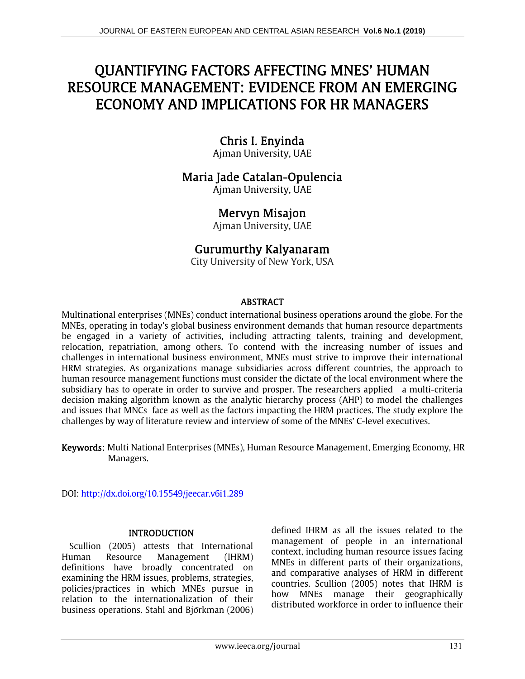# QUANTIFYING FACTORS AFFECTING MNES' HUMAN RESOURCE MANAGEMENT: EVIDENCE FROM AN EMERGING ECONOMY AND IMPLICATIONS FOR HR MANAGERS

# Chris I. Enyinda

Ajman University, UAE

# Maria Jade Catalan-Opulencia

Ajman University, UAE

# Mervyn Misajon

Ajman University, UAE

# Gurumurthy Kalyanaram

City University of New York, USA

# ABSTRACT

Multinational enterprises (MNEs) conduct international business operations around the globe. For the MNEs, operating in today's global business environment demands that human resource departments be engaged in a variety of activities, including attracting talents, training and development, relocation, repatriation, among others. To contend with the increasing number of issues and challenges in international business environment, MNEs must strive to improve their international HRM strategies. As organizations manage subsidiaries across different countries, the approach to human resource management functions must consider the dictate of the local environment where the subsidiary has to operate in order to survive and prosper. The researchers applied a multi-criteria decision making algorithm known as the analytic hierarchy process (AHP) to model the challenges and issues that MNCs face as well as the factors impacting the HRM practices. The study explore the challenges by way of literature review and interview of some of the MNEs' C-level executives.

Keywords: Multi National Enterprises (MNEs), Human Resource Management, Emerging Economy, HR Managers.

DOI: http://dx.doi.org/10.15549/jeecar.v6i1.289

# **INTRODUCTION**

Scullion (2005) attests that International Human Resource Management (IHRM) definitions have broadly concentrated on examining the HRM issues, problems, strategies, policies/practices in which MNEs pursue in relation to the internationalization of their business operations. Stahl and Björkman (2006) defined IHRM as all the issues related to the management of people in an international context, including human resource issues facing MNEs in different parts of their organizations, and comparative analyses of HRM in different countries. Scullion (2005) notes that IHRM is how MNEs manage their geographically distributed workforce in order to influence their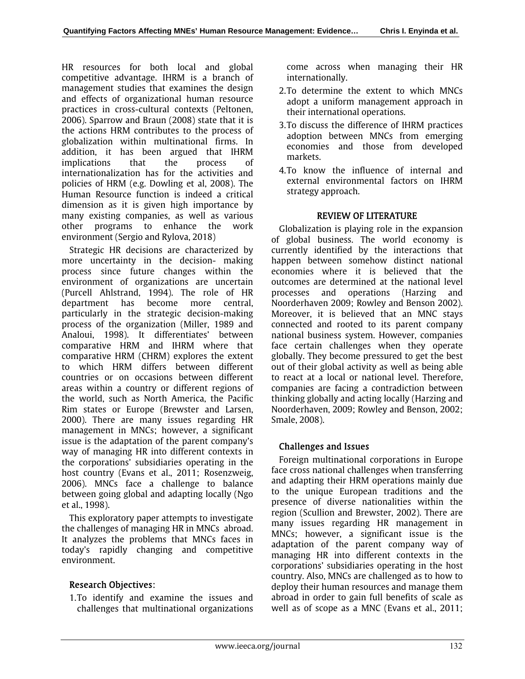HR resources for both local and global competitive advantage. IHRM is a branch of management studies that examines the design and effects of organizational human resource practices in cross-cultural contexts (Peltonen, 2006). Sparrow and Braun (2008) state that it is the actions HRM contributes to the process of globalization within multinational firms. In addition, it has been argued that IHRM implications that the process of internationalization has for the activities and policies of HRM (e.g. Dowling et al, 2008). The Human Resource function is indeed a critical dimension as it is given high importance by many existing companies, as well as various other programs to enhance the work environment (Sergio and Rylova, 2018)

Strategic HR decisions are characterized by more uncertainty in the decision- making process since future changes within the environment of organizations are uncertain (Purcell Ahlstrand, 1994). The role of HR department has become more central, particularly in the strategic decision-making process of the organization (Miller, 1989 and Analoui, 1998). It differentiates' between comparative HRM and IHRM where that comparative HRM (CHRM) explores the extent to which HRM differs between different countries or on occasions between different areas within a country or different regions of the world, such as North America, the Pacific Rim states or Europe (Brewster and Larsen, 2000). There are many issues regarding HR management in MNCs; however, a significant issue is the adaptation of the parent company's way of managing HR into different contexts in the corporations' subsidiaries operating in the host country (Evans et al., 2011; Rosenzweig, 2006). MNCs face a challenge to balance between going global and adapting locally (Ngo et al., 1998).

This exploratory paper attempts to investigate the challenges of managing HR in MNCs abroad. It analyzes the problems that MNCs faces in today's rapidly changing and competitive environment.

# Research Objectives:

1. To identify and examine the issues and challenges that multinational organizations come across when managing their HR internationally.

- 2. To determine the extent to which MNCs adopt a uniform management approach in their international operations.
- 3. To discuss the difference of IHRM practices adoption between MNCs from emerging economies and those from developed markets.
- 4. To know the influence of internal and external environmental factors on IHRM strategy approach.

# REVIEW OF LITERATURE

Globalization is playing role in the expansion of global business. The world economy is currently identified by the interactions that happen between somehow distinct national economies where it is believed that the outcomes are determined at the national level processes and operations (Harzing and Noorderhaven 2009; Rowley and Benson 2002). Moreover, it is believed that an MNC stays connected and rooted to its parent company national business system. However, companies face certain challenges when they operate globally. They become pressured to get the best out of their global activity as well as being able to react at a local or national level. Therefore, companies are facing a contradiction between thinking globally and acting locally (Harzing and Noorderhaven, 2009; Rowley and Benson, 2002; Smale, 2008).

# Challenges and Issues

Foreign multinational corporations in Europe face cross national challenges when transferring and adapting their HRM operations mainly due to the unique European traditions and the presence of diverse nationalities within the region (Scullion and Brewster, 2002). There are many issues regarding HR management in MNCs; however, a significant issue is the adaptation of the parent company way of managing HR into different contexts in the corporations' subsidiaries operating in the host country. Also, MNCs are challenged as to how to deploy their human resources and manage them abroad in order to gain full benefits of scale as well as of scope as a MNC (Evans et al., 2011;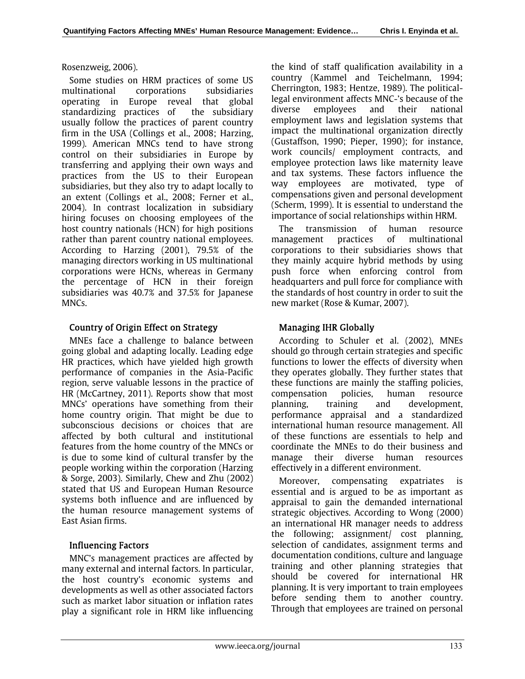#### Rosenzweig, 2006).

Some studies on HRM practices of some US multinational corporations subsidiaries operating in Europe reveal that global standardizing practices of the subsidiary usually follow the practices of parent country firm in the USA (Collings et al., 2008; Harzing, 1999). American MNCs tend to have strong control on their subsidiaries in Europe by transferring and applying their own ways and practices from the US to their European subsidiaries, but they also try to adapt locally to an extent (Collings et al., 2008; Ferner et al., 2004). In contrast localization in subsidiary hiring focuses on choosing employees of the host country nationals (HCN) for high positions rather than parent country national employees. According to Harzing (2001), 79.5% of the managing directors working in US multinational corporations were HCNs, whereas in Germany the percentage of HCN in their foreign subsidiaries was 40.7% and 37.5% for Japanese MNCs.

# Country of Origin Effect on Strategy

MNEs face a challenge to balance between going global and adapting locally. Leading edge HR practices, which have yielded high growth performance of companies in the Asia-Pacific region, serve valuable lessons in the practice of HR (McCartney, 2011). Reports show that most MNCs' operations have something from their home country origin. That might be due to subconscious decisions or choices that are affected by both cultural and institutional features from the home country of the MNCs or is due to some kind of cultural transfer by the people working within the corporation (Harzing & Sorge, 2003). Similarly, Chew and Zhu (2002) stated that US and European Human Resource systems both influence and are influenced by the human resource management systems of East Asian firms.

# Influencing Factors

MNC's management practices are affected by many external and internal factors. In particular, the host country's economic systems and developments as well as other associated factors such as market labor situation or inflation rates play a significant role in HRM like influencing the kind of staff qualification availability in a country (Kammel and Teichelmann, 1994; Cherrington, 1983; Hentze, 1989). The politicallegal environment affects MNC-'s because of the diverse employees and their national employment laws and legislation systems that impact the multinational organization directly (Gustaffson, 1990; Pieper, 1990); for instance, work councils/ employment contracts, and employee protection laws like maternity leave and tax systems. These factors influence the way employees are motivated, type of compensations given and personal development (Scherm, 1999). It is essential to understand the importance of social relationships within HRM.

The transmission of human resource management practices of multinational corporations to their subsidiaries shows that they mainly acquire hybrid methods by using push force when enforcing control from headquarters and pull force for compliance with the standards of host country in order to suit the new market (Rose & Kumar, 2007).

# Managing IHR Globally

According to Schuler et al. (2002), MNEs should go through certain strategies and specific functions to lower the effects of diversity when they operates globally. They further states that these functions are mainly the staffing policies, compensation policies, human resource planning, training and development, performance appraisal and a standardized international human resource management. All of these functions are essentials to help and coordinate the MNEs to do their business and manage their diverse human resources effectively in a different environment.

Moreover, compensating expatriates is essential and is argued to be as important as appraisal to gain the demanded international strategic objectives. According to Wong (2000) an international HR manager needs to address the following; assignment/ cost planning, selection of candidates, assignment terms and documentation conditions, culture and language training and other planning strategies that should be covered for international HR planning. It is very important to train employees before sending them to another country. Through that employees are trained on personal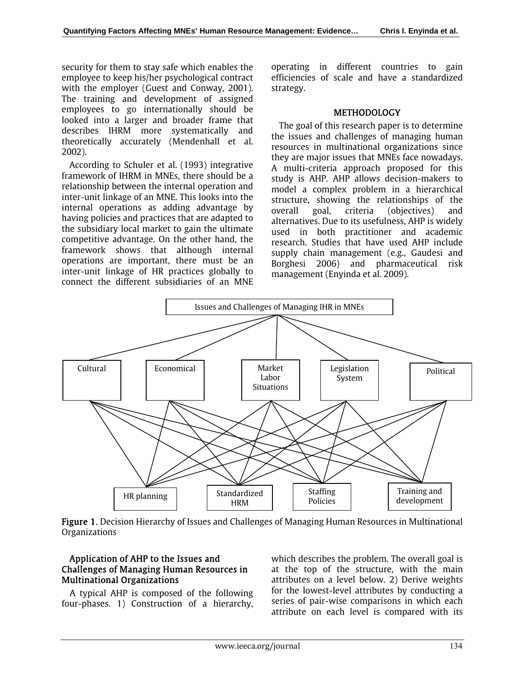security for them to stay safe which enables the employee to keep his/her psychological contract with the employer (Guest and Conway, 2001). The training and development of assigned employees to go internationally should be looked into a larger and broader frame that describes IHRM more systematically and theoretically accurately (Mendenhall et al. 2002).

According to Schuler et al. (1993) integrative framework of IHRM in MNEs, there should be a relationship between the internal operation and inter-unit linkage of an MNE. This looks into the internal operations as adding advantage by having policies and practices that are adapted to the subsidiary local market to gain the ultimate competitive advantage. On the other hand, the framework shows that although internal operations are important, there must be an inter-unit linkage of HR practices globally to connect the different subsidiaries of an MNE operating in different countries to gain efficiencies of scale and have a standardized strategy.

#### **METHODOLOGY**

The goal of this research paper is to determine the issues and challenges of managing human resources in multinational organizations since they are major issues that MNEs face nowadays. A multi-criteria approach proposed for this study is AHP. AHP allows decision-makers to model a complex problem in a hierarchical structure, showing the relationships of the overall goal, criteria (objectives) and alternatives. Due to its usefulness, AHP is widely used in both practitioner and academic research. Studies that have used AHP include supply chain management (e.g., Gaudesi and Borghesi 2006) and pharmaceutical risk management (Enyinda et al. 2009).



Figure 1. Decision Hierarchy of Issues and Challenges of Managing Human Resources in Multinational Organizations

# Application of AHP to the Issues and Challenges of Managing Human Resources in Multinational Organizations

A typical AHP is composed of the following four-phases. 1) Construction of a hierarchy, which describes the problem. The overall goal is at the top of the structure, with the main attributes on a level below. 2) Derive weights for the lowest-level attributes by conducting a series of pair-wise comparisons in which each attribute on each level is compared with its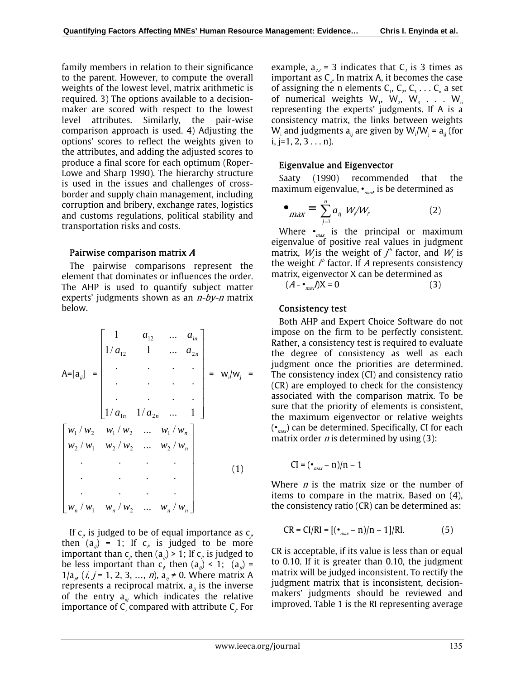family members in relation to their significance to the parent. However, to compute the overall weights of the lowest level, matrix arithmetic is required. 3) The options available to a decisionmaker are scored with respect to the lowest level attributes. Similarly, the pair-wise comparison approach is used. 4) Adjusting the options' scores to reflect the weights given to the attributes, and adding the adjusted scores to produce a final score for each optimum (Roper-Lowe and Sharp 1990). The hierarchy structure is used in the issues and challenges of crossborder and supply chain management, including corruption and bribery, exchange rates, logistics and customs regulations, political stability and transportation risks and costs.

# Pairwise comparison matrix A

The pairwise comparisons represent the element that dominates or influences the order. The AHP is used to quantify subject matter experts' judgments shown as an  $n$ -by-n matrix below.

$$
A=[a_{ij}] = \begin{bmatrix} 1 & a_{12} & \dots & a_{in} \\ 1/a_{12} & 1 & \dots & a_{2n} \\ \vdots & \vdots & \ddots & \vdots \\ 1/a_{1n} & 1/a_{2n} & \dots & 1 \end{bmatrix} = w_i/w_j =
$$
  

$$
\begin{bmatrix} w_1/w_2 & w_1/w_2 & \dots & w_1/w_n \\ w_2/w_1 & w_2/w_2 & \dots & w_2/w_n \\ \vdots & \vdots & \ddots & \vdots \\ w_n/w_1 & w_n/w_2 & \dots & w_n/w_n \end{bmatrix}
$$
 (1)

If  $c<sub>e</sub>$  is judged to be of equal importance as  $c<sub>e</sub>$ then  $(a_{ij}) = 1$ ; If  $c_j$ , is judged to be more important than  $c_{\rho}$  then (a<sub>*ij*</sub>) > 1; If  $c_{\rho}$  is judged to be less important than  $c_j$ , then  $(a_{ij}) < 1$ ;  $(a_{ij}) =$  $1/a_{i^p}$  (*i, j* = 1, 2, 3, ..., *n*),  $a_{i^p} \neq 0$ . Where matrix A represents a reciprocal matrix,  $a_{ij}$  is the inverse of the entry  $a_{ki}$  which indicates the relative importance of  $\mathsf{C}_i$  compared with attribute  $\mathsf{C}_i$  For

example,  $a_{12}$  = 3 indicates that C<sub>1</sub> is 3 times as important as  $C_z$  In matrix A, it becomes the case of assigning the n elements  $C_1, C_2, C_3 \ldots C_n$  a set of numerical weights  $W_1$ ,  $W_2$ ,  $W_3$  . . .  $W_n$ representing the experts' judgments. If A is a consistency matrix, the links between weights W<sub>i</sub> and judgments  $a_{ij}$  are given by W<sub>i</sub>/W<sub>j</sub> =  $a_{ij}$  (for  $i, j=1, 2, 3...n$ ).

# Eigenvalue and Eigenvector

Saaty (1990) recommended that the maximum eigenvalue,  $\bullet_{max}$  is be determined as

$$
\bullet_{\max} = \sum_{j=1}^{n} a_{ij} W_j / W_r \tag{2}
$$

Where  $\bullet_{\text{max}}$  is the principal or maximum eigenvalue of positive real values in judgment matrix,  $W_j$ is the weight of  $f^h$  factor, and  $W_i$  is the weight  $f^{\prime\prime}$  factor. If A represents consistency matrix, eigenvector X can be determined as

 $(A - \frac{1}{\text{max}})X = 0$  (3)

# Consistency test

Both AHP and Expert Choice Software do not impose on the firm to be perfectly consistent. Rather, a consistency test is required to evaluate the degree of consistency as well as each judgment once the priorities are determined. The consistency index (CI) and consistency ratio (CR) are employed to check for the consistency associated with the comparison matrix. To be sure that the priority of elements is consistent, the maximum eigenvector or relative weights  $(\bullet_{\text{max}})$  can be determined. Specifically, CI for each matrix order  $n$  is determined by using (3):

$$
CI = (\bullet_{max} - n)/n - 1
$$

Where  $n$  is the matrix size or the number of items to compare in the matrix. Based on (4), the consistency ratio (CR) can be determined as:

$$
CR = CI/RI = [(\bullet_{max} - n)/n - 1]/RI.
$$
 (5)

CR is acceptable, if its value is less than or equal to 0.10. If it is greater than 0.10, the judgment matrix will be judged inconsistent. To rectify the judgment matrix that is inconsistent, decisionmakers' judgments should be reviewed and improved. Table 1 is the RI representing average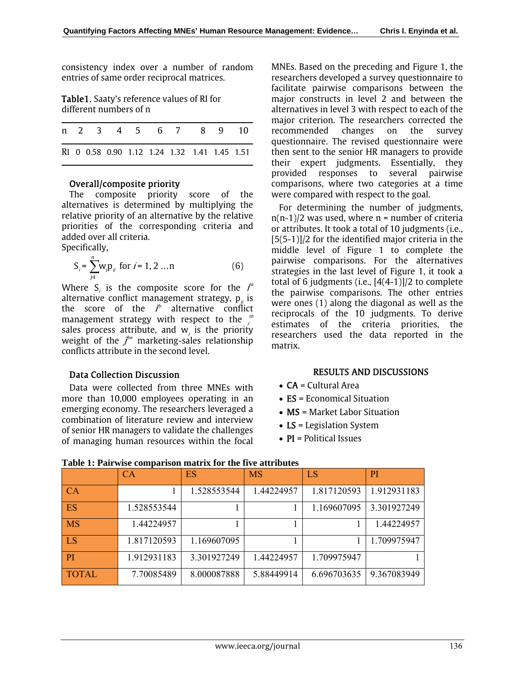consistency index over a number of random entries of same order reciprocal matrices.

Table1. Saaty's reference values of RI for different numbers of n

|  |  |  | n 2 3 4 5 6 7 8 9 10                         |  |  |
|--|--|--|----------------------------------------------|--|--|
|  |  |  | RI 0 0.58 0.90 1.12 1.24 1.32 1.41 1.45 1.51 |  |  |

# Overall/composite priority

The composite priority score of the alternatives is determined by multiplying the relative priority of an alternative by the relative priorities of the corresponding criteria and added over all criteria.

Specifically,

$$
S_i = \sum_{j=1}^{n} w_j p_{ij} \text{ for } i = 1, 2 ... n \tag{6}
$$

Where  $S_i$  is the composite score for the  $I^h$ alternative conflict management strategy,  ${\sf p}_{_{ij}}$  is the score of the  $I<sup>h</sup>$  alternative conflict management strategy with respect to the  $j^{\prime\prime}$ sales process attribute, and  $w_j$  is the priority weight of the  $f<sup>he</sup>$  marketing-sales relationship conflicts attribute in the second level.

#### Data Collection Discussion

Data were collected from three MNEs with more than 10,000 employees operating in an emerging economy. The researchers leveraged a combination of literature review and interview of senior HR managers to validate the challenges of managing human resources within the focal MNEs. Based on the preceding and Figure 1, the researchers developed a survey questionnaire to facilitate pairwise comparisons between the major constructs in level 2 and between the alternatives in level 3 with respect to each of the major criterion. The researchers corrected the recommended changes on the survey questionnaire. The revised questionnaire were then sent to the senior HR managers to provide their expert judgments. Essentially, they provided responses to several pairwise comparisons, where two categories at a time were compared with respect to the goal.

For determining the number of judgments,  $n(n-1)/2$  was used, where  $n =$  number of criteria or attributes. It took a total of 10 judgments (i.e., [5(5-1)]/2 for the identified major criteria in the middle level of Figure 1 to complete the pairwise comparisons. For the alternatives strategies in the last level of Figure 1, it took a total of 6 judgments (i.e., [4(4-1)]/2 to complete the pairwise comparisons. The other entries were ones (1) along the diagonal as well as the reciprocals of the 10 judgments. To derive estimates of the criteria priorities, the researchers used the data reported in the matrix.

#### RESULTS AND DISCUSSIONS

- CA = Cultural Area
- ES = Economical Situation
- **MS** = Market Labor Situation
- LS = Legislation System
- PI = Political Issues

|              | СA          | ES          | <b>MS</b>  | LS          | PI          |
|--------------|-------------|-------------|------------|-------------|-------------|
| <b>CA</b>    |             | 1.528553544 | 1.44224957 | 1.817120593 | 1.912931183 |
| ES           | 1.528553544 |             |            | 1.169607095 | 3.301927249 |
| <b>MS</b>    | 1.44224957  |             |            |             | 1.44224957  |
| <b>LS</b>    | 1.817120593 | 1.169607095 |            |             | 1.709975947 |
| <b>PI</b>    | 1.912931183 | 3.301927249 | 1.44224957 | 1.709975947 |             |
| <b>TOTAL</b> | 7.70085489  | 8.000087888 | 5.88449914 | 6.696703635 | 9.367083949 |

# **Table 1: Pairwise comparison matrix for the five attributes**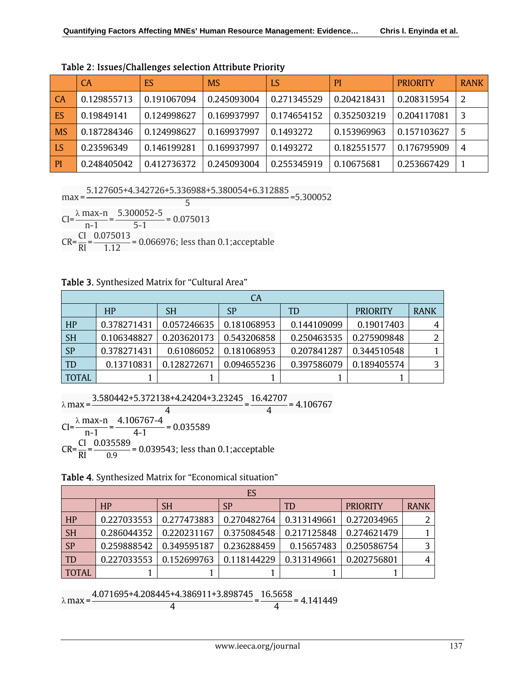|                             | <b>CA</b>   | ES          | <b>MS</b>   | LS          | P <sub>l</sub> | <b>PRIORITY</b> | <b>RANK</b> |
|-----------------------------|-------------|-------------|-------------|-------------|----------------|-----------------|-------------|
| l CA                        | 0.129855713 | 0.191067094 | 0.245093004 | 0.271345529 | 0.204218431    | 0.208315954     | 2           |
| <b>ES</b>                   | 0.19849141  | 0.124998627 | 0.169937997 | 0.174654152 | 0.352503219    | 0.204117081     | 3           |
| <b>MS</b>                   | 0.187284346 | 0.124998627 | 0.169937997 | 0.1493272   | 0.153969963    | 0.157103627     | 5           |
| $\overline{\phantom{a}}$ LS | 0.23596349  | 0.146199281 | 0.169937997 | 0.1493272   | 0.182551577    | 0.176795909     | 4           |
| P                           | 0.248405042 | 0.412736372 | 0.245093004 | 0.255345919 | 0.10675681     | 0.253667429     |             |

Table 2: Issues/Challenges selection Attribute Priority

max = 5.127605+4.342726+5.336988+5.380054+6.312885 <sup>5</sup> =5.300052

 $CI = \frac{\lambda \max -n}{n-1} = \frac{5.300052 - 5}{5-1} = 0.075013$  $CR = \frac{CI}{RI} = \frac{0.075013}{1.12} = 0.066976$ ; less than 0.1;acceptable

# Table 3. Synthesized Matrix for "Cultural Area"

| CA           |             |             |             |             |                 |             |  |  |  |
|--------------|-------------|-------------|-------------|-------------|-----------------|-------------|--|--|--|
|              | HP          | <b>SH</b>   | <b>SP</b>   | TD          | <b>PRIORITY</b> | <b>RANK</b> |  |  |  |
| HP           | 0.378271431 | 0.057246635 | 0.181068953 | 0.144109099 | 0.19017403      |             |  |  |  |
| <b>SH</b>    | 0.106348827 | 0.203620173 | 0.543206858 | 0.250463535 | 0.275909848     |             |  |  |  |
| <b>SP</b>    | 0.378271431 | 0.61086052  | 0.181068953 | 0.207841287 | 0.344510548     |             |  |  |  |
| TD           | 0.13710831  | 0.128272671 | 0.094655236 | 0.397586079 | 0.189405574     |             |  |  |  |
| <b>TOTAL</b> |             |             |             |             |                 |             |  |  |  |

 $λ$  max =  $\frac{3.580442+5.372138+4.24204+3.23245}{4} = \frac{16.42707}{4} = 4.106767$  $CI = \frac{\lambda \max - n}{n-1} = \frac{4.106767 - 4}{4 - 1} = 0.035589$ 

 $CR = \frac{CI}{RI} = \frac{0.035589}{0.9} = 0.039543$ ; less than 0.1;acceptable

Table 4. Synthesized Matrix for "Economical situation"

|           | ES          |             |             |             |                 |             |  |  |  |  |
|-----------|-------------|-------------|-------------|-------------|-----------------|-------------|--|--|--|--|
|           | HP          | <b>SH</b>   | SP          | TD          | <b>PRIORITY</b> | <b>RANK</b> |  |  |  |  |
| HP        | 0.227033553 | 0.277473883 | 0.270482764 | 0.313149661 | 0.272034965     |             |  |  |  |  |
| <b>SH</b> | 0.286044352 | 0.220231167 | 0.375084548 | 0.217125848 | 0.274621479     |             |  |  |  |  |
| <b>SP</b> | 0.259888542 | 0.349595187 | 0.236288459 | 0.15657483  | 0.250586754     |             |  |  |  |  |
| TD        | 0.227033553 | 0.152699763 | 0.118144229 | 0.313149661 | 0.202756801     |             |  |  |  |  |
| TOTAL     |             |             |             |             |                 |             |  |  |  |  |

 $λ$  max =  $\frac{4.071695+4.208445+4.386911+3.898745}{4} = \frac{16.5658}{4} = 4.141449$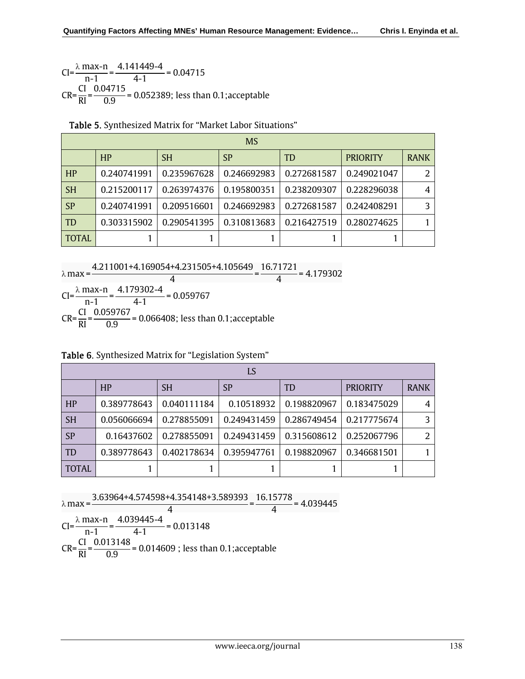$CI = \frac{\lambda \max - n}{n-1} = \frac{4.141449 - 4}{4 - 1} = 0.04715$  $CR = {CI \over RI} = {0.04715 \over 0.9} = 0.052389$ ; less than 0.1;acceptable

| <b>MS</b>     |             |             |             |             |                 |                |  |  |  |
|---------------|-------------|-------------|-------------|-------------|-----------------|----------------|--|--|--|
|               | HP          | <b>SH</b>   | SP          | <b>TD</b>   | <b>PRIORITY</b> | <b>RANK</b>    |  |  |  |
| HP            | 0.240741991 | 0.235967628 | 0.246692983 | 0.272681587 | 0.249021047     | $\overline{2}$ |  |  |  |
| $\mathsf{SH}$ | 0.215200117 | 0.263974376 | 0.195800351 | 0.238209307 | 0.228296038     | $\overline{4}$ |  |  |  |
| SP            | 0.240741991 | 0.209516601 | 0.246692983 | 0.272681587 | 0.242408291     | 3              |  |  |  |
| <b>TD</b>     | 0.303315902 | 0.290541395 | 0.310813683 | 0.216427519 | 0.280274625     |                |  |  |  |
| <b>TOTAL</b>  |             |             |             |             |                 |                |  |  |  |

Table 5. Synthesized Matrix for "Market Labor Situations"

 $λ$  max =  $\frac{4.211001+4.169054+4.231505+4.105649}{4} = \frac{16.71721}{4} = 4.179302$ 

 $CI = \frac{\lambda \max -n}{n-1} = \frac{4.179302 - 4}{4 - 1} = 0.059767$  $CR = \frac{CI}{RI} = \frac{0.059767}{0.9} = 0.066408$ ; less than 0.1;acceptable

Table 6. Synthesized Matrix for "Legislation System"

| LS           |             |             |             |             |                 |             |  |  |  |
|--------------|-------------|-------------|-------------|-------------|-----------------|-------------|--|--|--|
|              | HP          | <b>SH</b>   | SP          | TD          | <b>PRIORITY</b> | <b>RANK</b> |  |  |  |
| HP           | 0.389778643 | 0.040111184 | 0.10518932  | 0.198820967 | 0.183475029     |             |  |  |  |
| <b>SH</b>    | 0.056066694 | 0.278855091 | 0.249431459 | 0.286749454 | 0.217775674     | ς           |  |  |  |
| <b>SP</b>    | 0.16437602  | 0.278855091 | 0.249431459 | 0.315608612 | 0.252067796     |             |  |  |  |
| <b>TD</b>    | 0.389778643 | 0.402178634 | 0.395947761 | 0.198820967 | 0.346681501     |             |  |  |  |
| <b>TOTAL</b> |             |             |             |             |                 |             |  |  |  |

$$
\lambda \max = \frac{3.63964 + 4.574598 + 4.354148 + 3.589393}{4} = \frac{16.15778}{4} = 4.039445
$$

 $CI = \frac{\lambda \max -n}{n-1} = \frac{4.039445 - 4}{4 - 1} = 0.013148$  $CR = \frac{CI}{RI} = \frac{0.013148}{0.9} = 0.014609$  ; less than 0.1;acceptable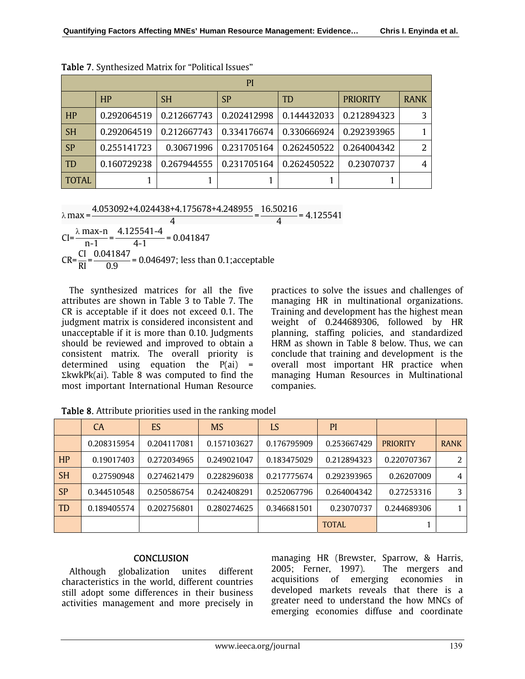|              | PI          |             |             |             |                 |             |  |  |  |  |
|--------------|-------------|-------------|-------------|-------------|-----------------|-------------|--|--|--|--|
|              | HP          | <b>SH</b>   | SP          | TD          | <b>PRIORITY</b> | <b>RANK</b> |  |  |  |  |
| HP           | 0.292064519 | 0.212667743 | 0.202412998 | 0.144432033 | 0.212894323     |             |  |  |  |  |
| <b>SH</b>    | 0.292064519 | 0.212667743 | 0.334176674 | 0.330666924 | 0.292393965     |             |  |  |  |  |
| <b>SP</b>    | 0.255141723 | 0.30671996  | 0.231705164 | 0.262450522 | 0.264004342     |             |  |  |  |  |
| <b>TD</b>    | 0.160729238 | 0.267944555 | 0.231705164 | 0.262450522 | 0.23070737      | 4           |  |  |  |  |
| <b>TOTAL</b> |             |             |             |             |                 |             |  |  |  |  |

Table 7. Synthesized Matrix for "Political Issues"

 $λ$  max =  $\frac{4.053092+4.024438+4.175678+4.248955}{4} = \frac{16.50216}{4} = 4.125541$ 

 $CI = \frac{\lambda \max -n}{n-1} = \frac{4.125541 - 4}{4 - 1} = 0.041847$  $CR = \frac{CI}{RI} = \frac{0.041847}{0.9} = 0.046497$ ; less than 0.1;acceptable

The synthesized matrices for all the five attributes are shown in Table 3 to Table 7. The CR is acceptable if it does not exceed 0.1. The judgment matrix is considered inconsistent and unacceptable if it is more than 0.10. Judgments should be reviewed and improved to obtain a consistent matrix. The overall priority is determined using equation the  $P(ai) =$ ΣkwkPk(ai). Table 8 was computed to find the most important International Human Resource

practices to solve the issues and challenges of managing HR in multinational organizations. Training and development has the highest mean weight of 0.244689306, followed by HR planning, staffing policies, and standardized HRM as shown in Table 8 below. Thus, we can conclude that training and development is the overall most important HR practice when managing Human Resources in Multinational companies.

|           | <b>CA</b>   | ES          | <b>MS</b>   | LS          | PI           |                 |             |
|-----------|-------------|-------------|-------------|-------------|--------------|-----------------|-------------|
|           | 0.208315954 | 0.204117081 | 0.157103627 | 0.176795909 | 0.253667429  | <b>PRIORITY</b> | <b>RANK</b> |
| HP        | 0.19017403  | 0.272034965 | 0.249021047 | 0.183475029 | 0.212894323  | 0.220707367     |             |
| <b>SH</b> | 0.27590948  | 0.274621479 | 0.228296038 | 0.217775674 | 0.292393965  | 0.26207009      | 4           |
| <b>SP</b> | 0.344510548 | 0.250586754 | 0.242408291 | 0.252067796 | 0.264004342  | 0.27253316      | 3           |
| <b>TD</b> | 0.189405574 | 0.202756801 | 0.280274625 | 0.346681501 | 0.23070737   | 0.244689306     |             |
|           |             |             |             |             | <b>TOTAL</b> |                 |             |

Table 8. Attribute priorities used in the ranking model

# **CONCLUSION**

Although globalization unites different characteristics in the world, different countries still adopt some differences in their business activities management and more precisely in managing HR (Brewster, Sparrow, & Harris, 2005; Ferner, 1997). The mergers and acquisitions of emerging economies in developed markets reveals that there is a greater need to understand the how MNCs of emerging economies diffuse and coordinate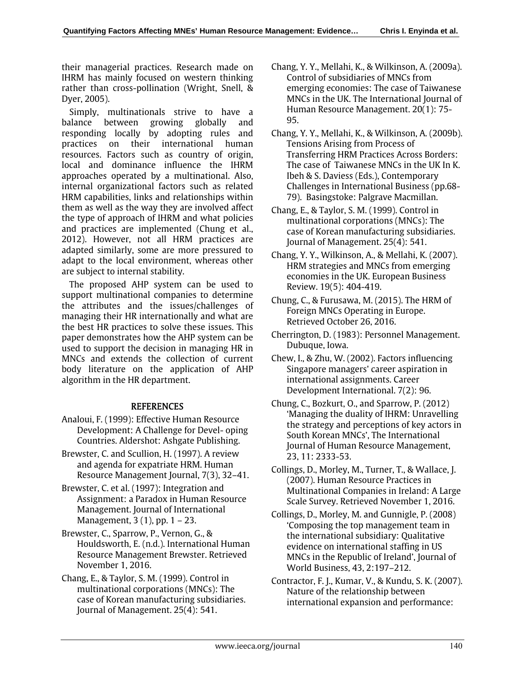their managerial practices. Research made on IHRM has mainly focused on western thinking rather than cross-pollination (Wright, Snell, & Dyer, 2005).

Simply, multinationals strive to have a balance between growing globally and responding locally by adopting rules and practices on their international human resources. Factors such as country of origin, local and dominance influence the IHRM approaches operated by a multinational. Also, internal organizational factors such as related HRM capabilities, links and relationships within them as well as the way they are involved affect the type of approach of IHRM and what policies and practices are implemented (Chung et al., 2012). However, not all HRM practices are adapted similarly, some are more pressured to adapt to the local environment, whereas other are subject to internal stability.

The proposed AHP system can be used to support multinational companies to determine the attributes and the issues/challenges of managing their HR internationally and what are the best HR practices to solve these issues. This paper demonstrates how the AHP system can be used to support the decision in managing HR in MNCs and extends the collection of current body literature on the application of AHP algorithm in the HR department.

# **REFERENCES**

- Analoui, F. (1999): Effective Human Resource Development: A Challenge for Devel- oping Countries. Aldershot: Ashgate Publishing.
- Brewster, C. and Scullion, H. (1997). A review and agenda for expatriate HRM. Human Resource Management Journal, 7(3), 32–41.
- Brewster, C. et al. (1997): Integration and Assignment: a Paradox in Human Resource Management. Journal of International Management, 3 (1), pp. 1 – 23.
- Brewster, C., Sparrow, P., Vernon, G., & Houldsworth, E. (n.d.). International Human Resource Management Brewster. Retrieved November 1, 2016.
- Chang, E., & Taylor, S. M. (1999). Control in multinational corporations (MNCs): The case of Korean manufacturing subsidiaries. Journal of Management. 25(4): 541.
- Chang, Y. Y., Mellahi, K., & Wilkinson, A. (2009a). Control of subsidiaries of MNCs from emerging economies: The case of Taiwanese MNCs in the UK. The International Journal of Human Resource Management. 20(1): 75- 95.
- Chang, Y. Y., Mellahi, K., & Wilkinson, A. (2009b). Tensions Arising from Process of Transferring HRM Practices Across Borders: The case of Taiwanese MNCs in the UK In K. Ibeh & S. Daviess (Eds.), Contemporary Challenges in International Business (pp.68- 79). Basingstoke: Palgrave Macmillan.
- Chang, E., & Taylor, S. M. (1999). Control in multinational corporations (MNCs): The case of Korean manufacturing subsidiaries. Journal of Management. 25(4): 541.
- Chang, Y. Y., Wilkinson, A., & Mellahi, K. (2007). HRM strategies and MNCs from emerging economies in the UK. European Business Review. 19(5): 404-419.
- Chung, C., & Furusawa, M. (2015). The HRM of Foreign MNCs Operating in Europe. Retrieved October 26, 2016.
- Cherrington, D. (1983): Personnel Management. Dubuque, Iowa.
- Chew, I., & Zhu, W. (2002). Factors influencing Singapore managers' career aspiration in international assignments. Career Development International. 7(2): 96.
- Chung, C., Bozkurt, O., and Sparrow, P. (2012) 'Managing the duality of IHRM: Unravelling the strategy and perceptions of key actors in South Korean MNCs', The International Journal of Human Resource Management, 23, 11: 2333-53.
- Collings, D., Morley, M., Turner, T., & Wallace, J. (2007). Human Resource Practices in Multinational Companies in Ireland: A Large Scale Survey. Retrieved November 1, 2016.
- Collings, D., Morley, M. and Gunnigle, P. (2008) 'Composing the top management team in the international subsidiary: Qualitative evidence on international staffing in US MNCs in the Republic of Ireland', Journal of World Business, 43, 2:197–212.
- Contractor, F. J., Kumar, V., & Kundu, S. K. (2007). Nature of the relationship between international expansion and performance: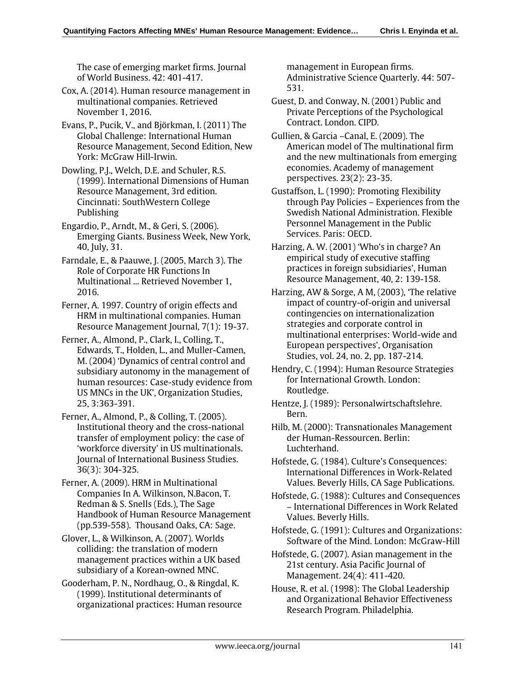The case of emerging market firms. Journal of World Business. 42: 401-417.

Cox, A. (2014). Human resource management in multinational companies. Retrieved November 1, 2016.

Evans, P., Pucik, V., and Björkman, I. (2011) The Global Challenge: International Human Resource Management, Second Edition, New York: McGraw Hill-Irwin.

Dowling, P.J., Welch, D.E. and Schuler, R.S. (1999). International Dimensions of Human Resource Management, 3rd edition. Cincinnati: SouthWestern College Publishing

Engardio, P., Arndt, M., & Geri, S. (2006). Emerging Giants. Business Week, New York, 40, July, 31.

Farndale, E., & Paauwe, J. (2005, March 3). The Role of Corporate HR Functions In Multinational ... Retrieved November 1, 2016.

Ferner, A. 1997. Country of origin effects and HRM in multinational companies. Human Resource Management Journal, 7(1): 19-37.

Ferner, A., Almond, P., Clark, I., Colling, T., Edwards, T., Holden, L., and Muller-Camen, M. (2004) 'Dynamics of central control and subsidiary autonomy in the management of human resources: Case-study evidence from US MNCs in the UK', Organization Studies, 25, 3:363-391.

Ferner, A., Almond, P., & Colling, T. (2005). Institutional theory and the cross-national transfer of employment policy: the case of 'workforce diversity' in US multinationals. Journal of International Business Studies. 36(3): 304-325.

Ferner, A. (2009). HRM in Multinational Companies In A. Wilkinson, N.Bacon, T. Redman & S. Snells (Eds.), The Sage Handbook of Human Resource Management (pp.539-558). Thousand Oaks, CA: Sage.

Glover, L., & Wilkinson, A. (2007). Worlds colliding: the translation of modern management practices within a UK based subsidiary of a Korean-owned MNC.

Gooderham, P. N., Nordhaug, O., & Ringdal, K. (1999). Institutional determinants of organizational practices: Human resource management in European firms. Administrative Science Quarterly. 44: 507- 531.

Guest, D. and Conway, N. (2001) Public and Private Perceptions of the Psychological Contract. London. CIPD.

Gullien, & Garcia –Canal, E. (2009). The American model of The multinational firm and the new multinationals from emerging economies. Academy of management perspectives. 23(2): 23-35.

Gustaffson, L. (1990): Promoting Flexibility through Pay Policies – Experiences from the Swedish National Administration. Flexible Personnel Management in the Public Services. Paris: OECD.

Harzing, A. W. (2001) 'Who's in charge? An empirical study of executive staffing practices in foreign subsidiaries', Human Resource Management, 40, 2: 139-158.

Harzing, AW & Sorge, A M, (2003), 'The relative impact of country-of-origin and universal contingencies on internationalization strategies and corporate control in multinational enterprises: World-wide and European perspectives', Organisation Studies, vol. 24, no. 2, pp. 187-214.

Hendry, C. (1994): Human Resource Strategies for International Growth. London: Routledge.

Hentze, J. (1989): Personalwirtschaftslehre. Bern.

Hilb, M. (2000): Transnationales Management der Human-Ressourcen. Berlin: Luchterhand.

Hofstede, G. (1984). Culture's Consequences: International Differences in Work-Related Values. Beverly Hills, CA Sage Publications.

Hofstede, G. (1988): Cultures and Consequences – International Differences in Work Related Values. Beverly Hills.

Hofstede, G. (1991): Cultures and Organizations: Software of the Mind. London: McGraw-Hill

Hofstede, G. (2007). Asian management in the 21st century. Asia Pacific Journal of Management. 24(4): 411-420.

House, R. et al. (1998): The Global Leadership and Organizational Behavior Effectiveness Research Program. Philadelphia.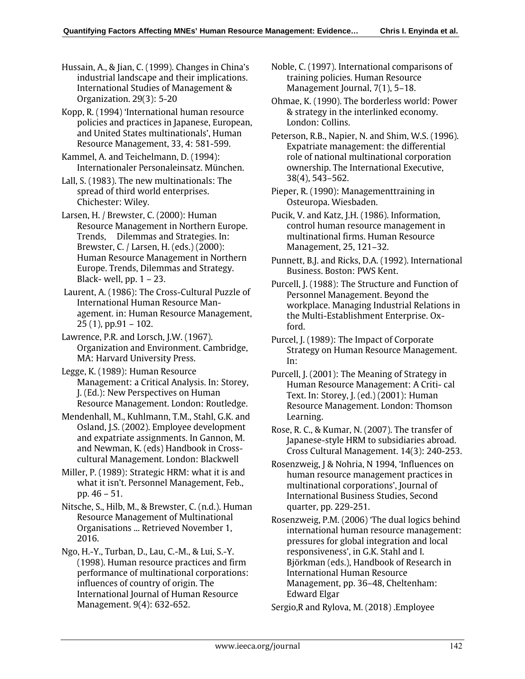Hussain, A., & Jian, C. (1999). Changes in China's industrial landscape and their implications. International Studies of Management & Organization. 29(3): 5-20

Kopp, R. (1994) 'International human resource policies and practices in Japanese, European, and United States multinationals', Human Resource Management, 33, 4: 581-599.

Kammel, A. and Teichelmann, D. (1994): Internationaler Personaleinsatz. München.

Lall, S. (1983). The new multinationals: The spread of third world enterprises. Chichester: Wiley.

Larsen, H. / Brewster, C. (2000): Human Resource Management in Northern Europe. Trends, Dilemmas and Strategies. In: Brewster, C. / Larsen, H. (eds.) (2000): Human Resource Management in Northern Europe. Trends, Dilemmas and Strategy. Black- well,  $pp. 1 - 23$ .

 Laurent, A. (1986): The Cross-Cultural Puzzle of International Human Resource Management. in: Human Resource Management, 25 (1), pp.91 – 102.

Lawrence, P.R. and Lorsch, J.W. (1967). Organization and Environment. Cambridge, MA: Harvard University Press.

Legge, K. (1989): Human Resource Management: a Critical Analysis. In: Storey, J. (Ed.): New Perspectives on Human Resource Management. London: Routledge.

Mendenhall, M., Kuhlmann, T.M., Stahl, G.K. and Osland, J.S. (2002). Employee development and expatriate assignments. In Gannon, M. and Newman, K. (eds) Handbook in Crosscultural Management. London: Blackwell

Miller, P. (1989): Strategic HRM: what it is and what it isn't. Personnel Management, Feb., pp. 46 – 51.

Nitsche, S., Hilb, M., & Brewster, C. (n.d.). Human Resource Management of Multinational Organisations ... Retrieved November 1, 2016.

Ngo, H.-Y., Turban, D., Lau, C.-M., & Lui, S.-Y. (1998). Human resource practices and firm performance of multinational corporations: influences of country of origin. The International Journal of Human Resource Management. 9(4): 632-652.

Noble, C. (1997). International comparisons of training policies. Human Resource Management Journal, 7(1), 5–18.

Ohmae, K. (1990). The borderless world: Power & strategy in the interlinked economy. London: Collins.

Peterson, R.B., Napier, N. and Shim, W.S. (1996). Expatriate management: the differential role of national multinational corporation ownership. The International Executive, 38(4), 543–562.

Pieper, R. (1990): Managementtraining in Osteuropa. Wiesbaden.

Pucik, V. and Katz, J.H. (1986). Information, control human resource management in multinational firms. Human Resource Management, 25, 121–32.

Punnett, B.J. and Ricks, D.A. (1992). International Business. Boston: PWS Kent.

Purcell, J. (1988): The Structure and Function of Personnel Management. Beyond the workplace. Managing Industrial Relations in the Multi-Establishment Enterprise. Oxford.

Purcel, J. (1989): The Impact of Corporate Strategy on Human Resource Management. In:

Purcell, J. (2001): The Meaning of Strategy in Human Resource Management: A Criti- cal Text. In: Storey, J. (ed.) (2001): Human Resource Management. London: Thomson Learning.

Rose, R. C., & Kumar, N. (2007). The transfer of Japanese-style HRM to subsidiaries abroad. Cross Cultural Management. 14(3): 240-253.

Rosenzweig, J & Nohria, N 1994, 'Influences on human resource management practices in multinational corporations', Journal of International Business Studies, Second quarter, pp. 229-251.

Rosenzweig, P.M. (2006) 'The dual logics behind international human resource management: pressures for global integration and local responsiveness', in G.K. Stahl and I. Björkman (eds.), Handbook of Research in International Human Resource Management, pp. 36–48, Cheltenham: Edward Elgar

Sergio,R and Rylova, M. (2018) .Employee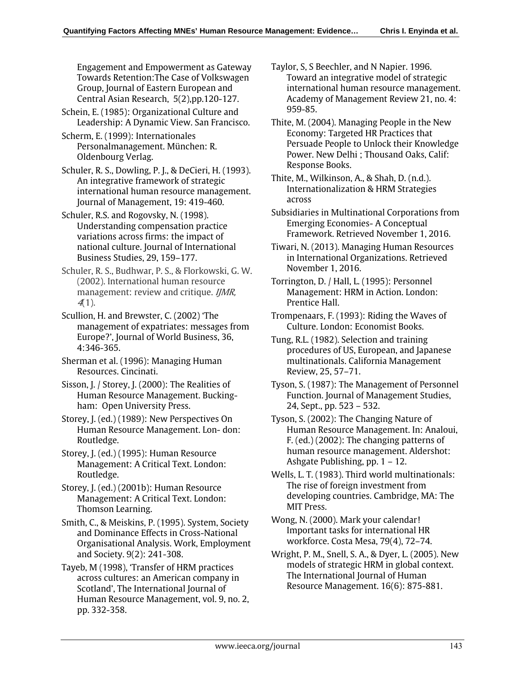Engagement and Empowerment as Gateway Towards Retention:The Case of Volkswagen Group, Journal of Eastern European and Central Asian Research, 5(2),pp.120-127.

Schein, E. (1985): Organizational Culture and Leadership: A Dynamic View. San Francisco.

Scherm, E. (1999): Internationales Personalmanagement. München: R. Oldenbourg Verlag.

Schuler, R. S., Dowling, P. J., & DeCieri, H. (1993). An integrative framework of strategic international human resource management. Journal of Management, 19: 419-460.

Schuler, R.S. and Rogovsky, N. (1998). Understanding compensation practice variations across firms: the impact of national culture. Journal of International Business Studies, 29, 159–177.

Schuler, R. S., Budhwar, P. S., & Florkowski, G. W. (2002). International human resource management: review and critique. IJMR,  $4(1)$ .

Scullion, H. and Brewster, C. (2002) 'The management of expatriates: messages from Europe?', Journal of World Business, 36, 4:346-365.

Sherman et al. (1996): Managing Human Resources. Cincinati.

Sisson, J. / Storey, J. (2000): The Realities of Human Resource Management. Buckingham: Open University Press.

Storey, J. (ed.) (1989): New Perspectives On Human Resource Management. Lon- don: Routledge.

Storey, J. (ed.) (1995): Human Resource Management: A Critical Text. London: Routledge.

Storey, J. (ed.) (2001b): Human Resource Management: A Critical Text. London: Thomson Learning.

Smith, C., & Meiskins, P. (1995). System, Society and Dominance Effects in Cross-National Organisational Analysis. Work, Employment and Society. 9(2): 241-308.

Tayeb, M (1998), 'Transfer of HRM practices across cultures: an American company in Scotland', The International Journal of Human Resource Management, vol. 9, no. 2, pp. 332-358.

Taylor, S, S Beechler, and N Napier. 1996. Toward an integrative model of strategic international human resource management. Academy of Management Review 21, no. 4: 959-85.

Thite, M. (2004). Managing People in the New Economy: Targeted HR Practices that Persuade People to Unlock their Knowledge Power. New Delhi ; Thousand Oaks, Calif: Response Books.

Thite, M., Wilkinson, A., & Shah, D. (n.d.). Internationalization & HRM Strategies across

Subsidiaries in Multinational Corporations from Emerging Economies- A Conceptual Framework. Retrieved November 1, 2016.

Tiwari, N. (2013). Managing Human Resources in International Organizations. Retrieved November 1, 2016.

Torrington, D. / Hall, L. (1995): Personnel Management: HRM in Action. London: Prentice Hall.

Trompenaars, F. (1993): Riding the Waves of Culture. London: Economist Books.

Tung, R.L. (1982). Selection and training procedures of US, European, and Japanese multinationals. California Management Review, 25, 57–71.

Tyson, S. (1987): The Management of Personnel Function. Journal of Management Studies, 24, Sept., pp. 523 – 532.

Tyson, S. (2002): The Changing Nature of Human Resource Management. In: Analoui, F. (ed.) (2002): The changing patterns of human resource management. Aldershot: Ashgate Publishing, pp. 1 – 12.

Wells, L. T. (1983). Third world multinationals: The rise of foreign investment from developing countries. Cambridge, MA: The MIT Press.

Wong, N. (2000). Mark your calendar! Important tasks for international HR workforce. Costa Mesa, 79(4), 72–74.

Wright, P. M., Snell, S. A., & Dyer, L. (2005). New models of strategic HRM in global context. The International Journal of Human Resource Management. 16(6): 875-881.